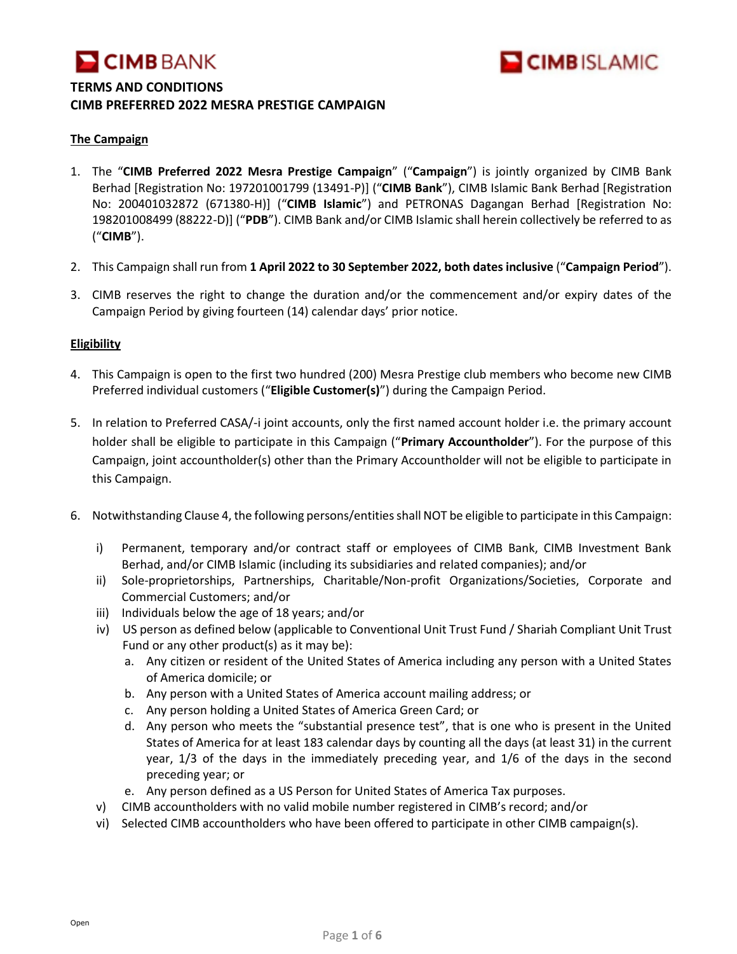



#### **The Campaign**

- 1. The "**CIMB Preferred 2022 Mesra Prestige Campaign**" ("**Campaign**") is jointly organized by CIMB Bank Berhad [Registration No: 197201001799 (13491-P)] ("**CIMB Bank**"), CIMB Islamic Bank Berhad [Registration No: 200401032872 (671380-H)] ("**CIMB Islamic**") and PETRONAS Dagangan Berhad [Registration No: 198201008499 (88222-D)] ("**PDB**"). CIMB Bank and/or CIMB Islamic shall herein collectively be referred to as ("**CIMB**").
- 2. This Campaign shall run from **1 April 2022 to 30 September 2022, both dates inclusive** ("**Campaign Period**").
- 3. CIMB reserves the right to change the duration and/or the commencement and/or expiry dates of the Campaign Period by giving fourteen (14) calendar days' prior notice.

#### **Eligibility**

- 4. This Campaign is open to the first two hundred (200) Mesra Prestige club members who become new CIMB Preferred individual customers ("**Eligible Customer(s)**") during the Campaign Period.
- 5. In relation to Preferred CASA/-i joint accounts, only the first named account holder i.e. the primary account holder shall be eligible to participate in this Campaign ("**Primary Accountholder**"). For the purpose of this Campaign, joint accountholder(s) other than the Primary Accountholder will not be eligible to participate in this Campaign.
- 6. Notwithstanding Clause 4, the following persons/entities shall NOT be eligible to participate in this Campaign:
	- i) Permanent, temporary and/or contract staff or employees of CIMB Bank, CIMB Investment Bank Berhad, and/or CIMB Islamic (including its subsidiaries and related companies); and/or
	- ii) Sole-proprietorships, Partnerships, Charitable/Non-profit Organizations/Societies, Corporate and Commercial Customers; and/or
	- iii) Individuals below the age of 18 years; and/or
	- iv) US person as defined below (applicable to Conventional Unit Trust Fund / Shariah Compliant Unit Trust Fund or any other product(s) as it may be):
		- a. Any citizen or resident of the United States of America including any person with a United States of America domicile; or
		- b. Any person with a United States of America account mailing address; or
		- c. Any person holding a United States of America Green Card; or
		- d. Any person who meets the "substantial presence test", that is one who is present in the United States of America for at least 183 calendar days by counting all the days (at least 31) in the current year, 1/3 of the days in the immediately preceding year, and 1/6 of the days in the second preceding year; or
		- e. Any person defined as a US Person for United States of America Tax purposes.
	- v) CIMB accountholders with no valid mobile number registered in CIMB's record; and/or
	- vi) Selected CIMB accountholders who have been offered to participate in other CIMB campaign(s).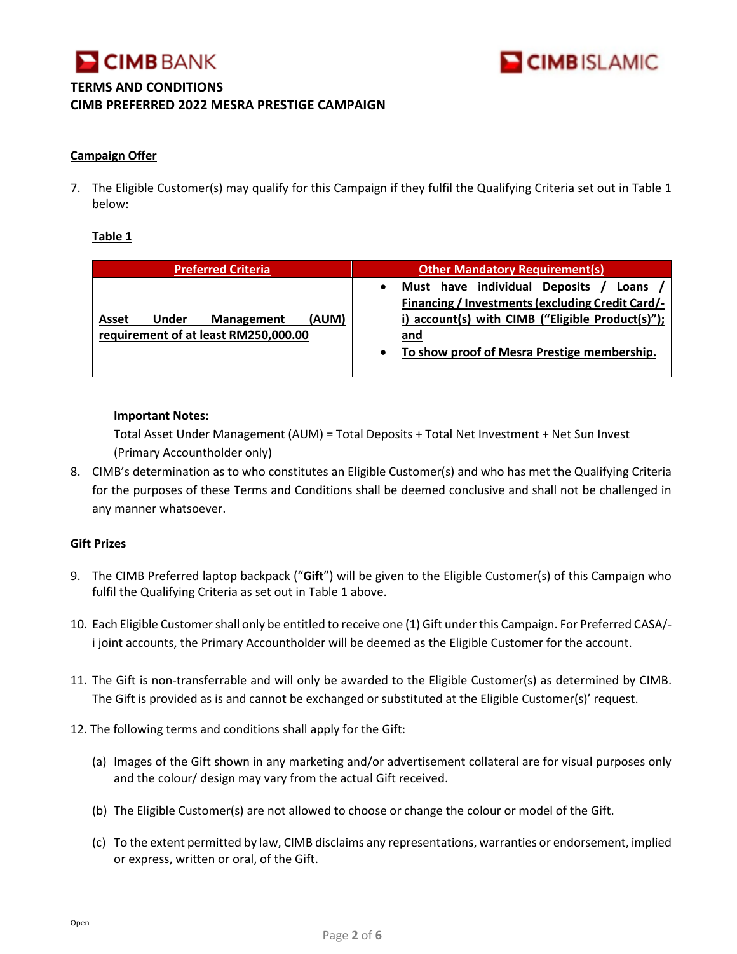



#### **Campaign Offer**

7. The Eligible Customer(s) may qualify for this Campaign if they fulfil the Qualifying Criteria set out in Table 1 below:

#### **Table 1**

| <b>Preferred Criteria</b>                                                            | <b>Other Mandatory Requirement(s)</b>                                                                                                                                                                                                 |
|--------------------------------------------------------------------------------------|---------------------------------------------------------------------------------------------------------------------------------------------------------------------------------------------------------------------------------------|
| (AUM)<br>Under<br><b>Management</b><br>Asset<br>requirement of at least RM250,000.00 | individual<br><b>Deposits</b><br>Must have<br>Loans<br><b>Financing / Investments (excluding Credit Card/-</b><br>i) account(s) with CIMB ("Eligible Product(s)");<br>and<br>To show proof of Mesra Prestige membership.<br>$\bullet$ |

#### **Important Notes:**

Total Asset Under Management (AUM) = Total Deposits + Total Net Investment + Net Sun Invest (Primary Accountholder only)

8. CIMB's determination as to who constitutes an Eligible Customer(s) and who has met the Qualifying Criteria for the purposes of these Terms and Conditions shall be deemed conclusive and shall not be challenged in any manner whatsoever.

#### **Gift Prizes**

- 9. The CIMB Preferred laptop backpack ("**Gift**") will be given to the Eligible Customer(s) of this Campaign who fulfil the Qualifying Criteria as set out in Table 1 above.
- 10. Each Eligible Customer shall only be entitled to receive one (1) Gift under this Campaign. For Preferred CASA/ i joint accounts, the Primary Accountholder will be deemed as the Eligible Customer for the account.
- 11. The Gift is non-transferrable and will only be awarded to the Eligible Customer(s) as determined by CIMB. The Gift is provided as is and cannot be exchanged or substituted at the Eligible Customer(s)' request.
- 12. The following terms and conditions shall apply for the Gift:
	- (a) Images of the Gift shown in any marketing and/or advertisement collateral are for visual purposes only and the colour/ design may vary from the actual Gift received.
	- (b) The Eligible Customer(s) are not allowed to choose or change the colour or model of the Gift.
	- (c) To the extent permitted by law, CIMB disclaims any representations, warranties or endorsement, implied or express, written or oral, of the Gift.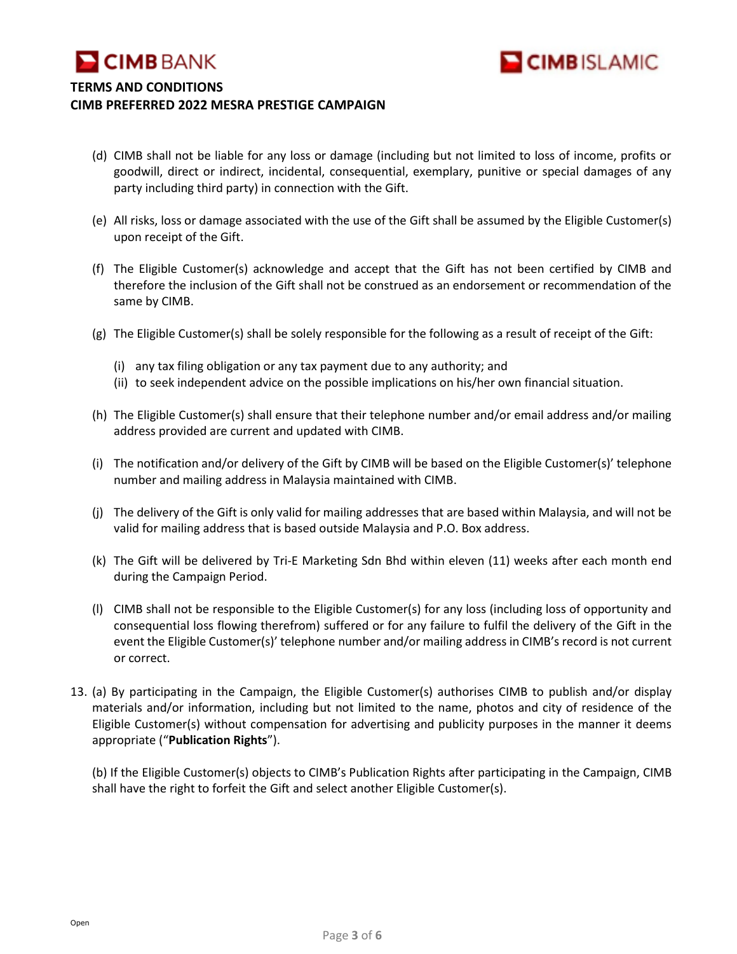

- (d) CIMB shall not be liable for any loss or damage (including but not limited to loss of income, profits or goodwill, direct or indirect, incidental, consequential, exemplary, punitive or special damages of any party including third party) in connection with the Gift.
- (e) All risks, loss or damage associated with the use of the Gift shall be assumed by the Eligible Customer(s) upon receipt of the Gift.
- (f) The Eligible Customer(s) acknowledge and accept that the Gift has not been certified by CIMB and therefore the inclusion of the Gift shall not be construed as an endorsement or recommendation of the same by CIMB.
- (g) The Eligible Customer(s) shall be solely responsible for the following as a result of receipt of the Gift:
	- (i) any tax filing obligation or any tax payment due to any authority; and
	- (ii) to seek independent advice on the possible implications on his/her own financial situation.
- (h) The Eligible Customer(s) shall ensure that their telephone number and/or email address and/or mailing address provided are current and updated with CIMB.
- (i) The notification and/or delivery of the Gift by CIMB will be based on the Eligible Customer(s)' telephone number and mailing address in Malaysia maintained with CIMB.
- (j) The delivery of the Gift is only valid for mailing addresses that are based within Malaysia, and will not be valid for mailing address that is based outside Malaysia and P.O. Box address.
- (k) The Gift will be delivered by Tri-E Marketing Sdn Bhd within eleven (11) weeks after each month end during the Campaign Period.
- (l) CIMB shall not be responsible to the Eligible Customer(s) for any loss (including loss of opportunity and consequential loss flowing therefrom) suffered or for any failure to fulfil the delivery of the Gift in the event the Eligible Customer(s)' telephone number and/or mailing address in CIMB's record is not current or correct.
- 13. (a) By participating in the Campaign, the Eligible Customer(s) authorises CIMB to publish and/or display materials and/or information, including but not limited to the name, photos and city of residence of the Eligible Customer(s) without compensation for advertising and publicity purposes in the manner it deems appropriate ("**Publication Rights**").

(b) If the Eligible Customer(s) objects to CIMB's Publication Rights after participating in the Campaign, CIMB shall have the right to forfeit the Gift and select another Eligible Customer(s).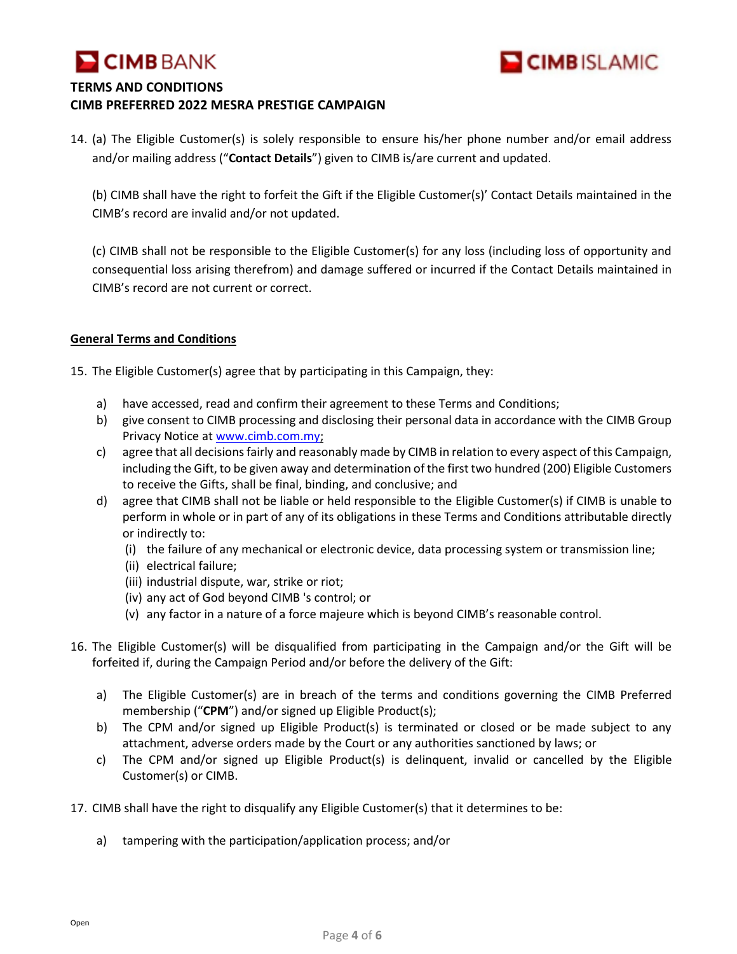



14. (a) The Eligible Customer(s) is solely responsible to ensure his/her phone number and/or email address and/or mailing address ("**Contact Details**") given to CIMB is/are current and updated.

(b) CIMB shall have the right to forfeit the Gift if the Eligible Customer(s)' Contact Details maintained in the CIMB's record are invalid and/or not updated.

(c) CIMB shall not be responsible to the Eligible Customer(s) for any loss (including loss of opportunity and consequential loss arising therefrom) and damage suffered or incurred if the Contact Details maintained in CIMB's record are not current or correct.

#### **General Terms and Conditions**

15. The Eligible Customer(s) agree that by participating in this Campaign, they:

- a) have accessed, read and confirm their agreement to these Terms and Conditions;
- b) give consent to CIMB processing and disclosing their personal data in accordance with the CIMB Group Privacy Notice at [www.cimb.com.my;](http://www.cimb.com.my/)
- c) agree that all decisions fairly and reasonably made by CIMB in relation to every aspect of this Campaign, including the Gift, to be given away and determination of the first two hundred (200) Eligible Customers to receive the Gifts, shall be final, binding, and conclusive; and
- d) agree that CIMB shall not be liable or held responsible to the Eligible Customer(s) if CIMB is unable to perform in whole or in part of any of its obligations in these Terms and Conditions attributable directly or indirectly to:
	- (i) the failure of any mechanical or electronic device, data processing system or transmission line;
	- (ii) electrical failure;
	- (iii) industrial dispute, war, strike or riot;
	- (iv) any act of God beyond CIMB 's control; or
	- (v) any factor in a nature of a force majeure which is beyond CIMB's reasonable control.
- 16. The Eligible Customer(s) will be disqualified from participating in the Campaign and/or the Gift will be forfeited if, during the Campaign Period and/or before the delivery of the Gift:
	- a) The Eligible Customer(s) are in breach of the terms and conditions governing the CIMB Preferred membership ("**CPM**") and/or signed up Eligible Product(s);
	- b) The CPM and/or signed up Eligible Product(s) is terminated or closed or be made subject to any attachment, adverse orders made by the Court or any authorities sanctioned by laws; or
	- c) The CPM and/or signed up Eligible Product(s) is delinquent, invalid or cancelled by the Eligible Customer(s) or CIMB.
- 17. CIMB shall have the right to disqualify any Eligible Customer(s) that it determines to be:
	- a) tampering with the participation/application process; and/or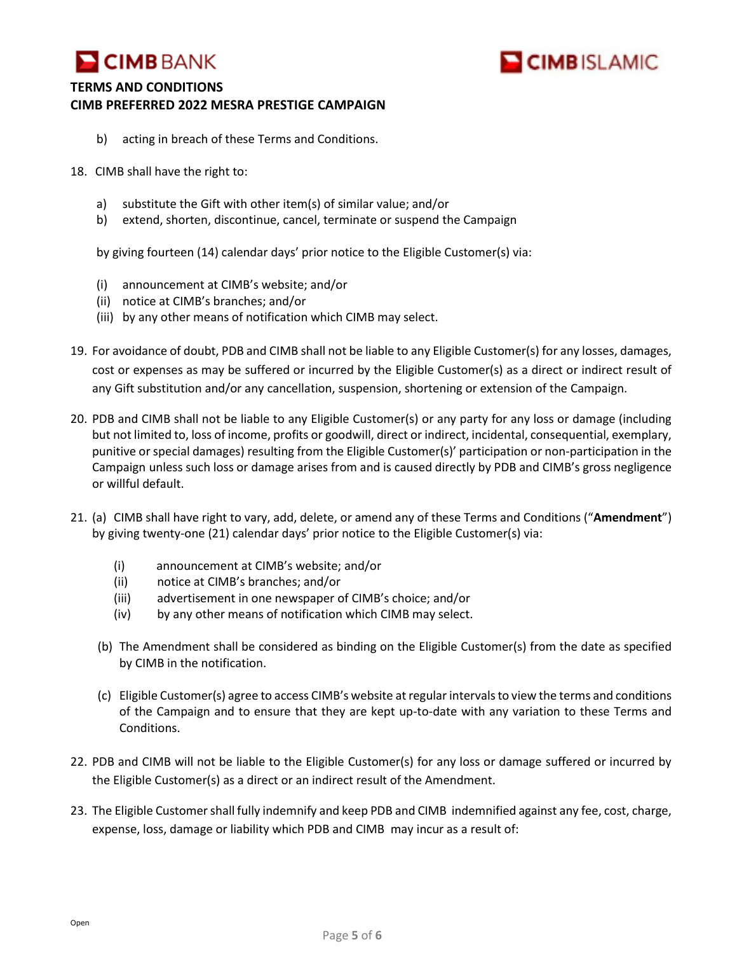



- b) acting in breach of these Terms and Conditions.
- 18. CIMB shall have the right to:
	- a) substitute the Gift with other item(s) of similar value; and/or
	- b) extend, shorten, discontinue, cancel, terminate or suspend the Campaign

by giving fourteen (14) calendar days' prior notice to the Eligible Customer(s) via:

- (i) announcement at CIMB's website; and/or
- (ii) notice at CIMB's branches; and/or
- (iii) by any other means of notification which CIMB may select.
- 19. For avoidance of doubt, PDB and CIMB shall not be liable to any Eligible Customer(s) for any losses, damages, cost or expenses as may be suffered or incurred by the Eligible Customer(s) as a direct or indirect result of any Gift substitution and/or any cancellation, suspension, shortening or extension of the Campaign.
- 20. PDB and CIMB shall not be liable to any Eligible Customer(s) or any party for any loss or damage (including but not limited to, loss of income, profits or goodwill, direct or indirect, incidental, consequential, exemplary, punitive or special damages) resulting from the Eligible Customer(s)' participation or non-participation in the Campaign unless such loss or damage arises from and is caused directly by PDB and CIMB's gross negligence or willful default.
- 21. (a) CIMB shall have right to vary, add, delete, or amend any of these Terms and Conditions ("**Amendment**") by giving twenty-one (21) calendar days' prior notice to the Eligible Customer(s) via:
	- (i) announcement at CIMB's website; and/or
	- (ii) notice at CIMB's branches; and/or
	- (iii) advertisement in one newspaper of CIMB's choice; and/or
	- (iv) by any other means of notification which CIMB may select.
	- (b) The Amendment shall be considered as binding on the Eligible Customer(s) from the date as specified by CIMB in the notification.
	- (c) Eligible Customer(s) agree to access CIMB's website at regular intervals to view the terms and conditions of the Campaign and to ensure that they are kept up-to-date with any variation to these Terms and Conditions.
- 22. PDB and CIMB will not be liable to the Eligible Customer(s) for any loss or damage suffered or incurred by the Eligible Customer(s) as a direct or an indirect result of the Amendment.
- 23. The Eligible Customer shall fully indemnify and keep PDB and CIMB indemnified against any fee, cost, charge, expense, loss, damage or liability which PDB and CIMB may incur as a result of: